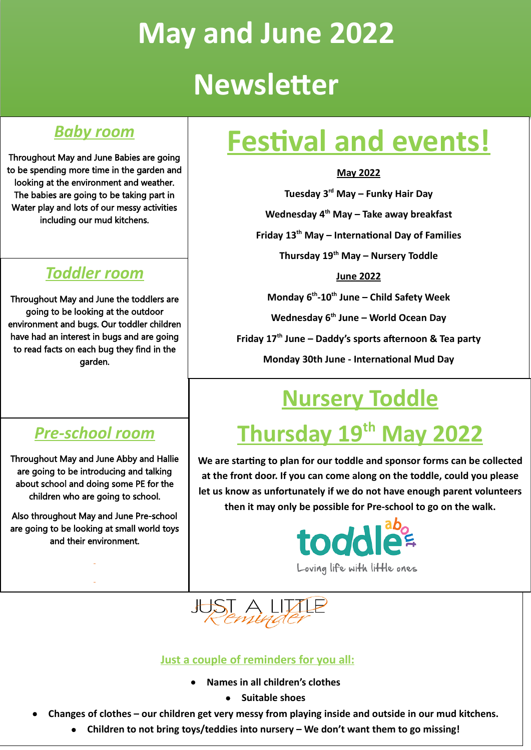# **May and June 2022 Newsletter**

### *Baby room*

Throughout May and June Babies are going to be spending more time in the garden and looking at the environment and weather. The babies are going to be taking part in Water play and lots of our messy activities including our mud kitchens.

### *Toddler room*

Throughout May and June the toddlers are going to be looking at the outdoor environment and bugs. Our toddler children have had an interest in bugs and are going to read facts on each bug they find in the garden.

### *Pre-school room*

Throughout May and June Abby and Hallie are going to be introducing and talking about school and doing some PE for the children who are going to school.

Also throughout May and June Pre-school are going to be looking at small world toys and their environment.

# **Festival and events!**

#### **May 2022**

**Tuesday 3 rd May – Funky Hair Day**

**Wednesday 4 th May – Take away breakfast**

**Friday 13th May – International Day of Families**

**Thursday 19th May – Nursery Toddle**

**June 2022**

**Monday 6 th-10th June – Child Safety Week**

**Wednesday 6 th June – World Ocean Day**

**Friday 17th June – Daddy's sports afternoon & Tea party**

**Monday 30th June - International Mud Day**

# **Nursery Toddle**

# **Thursday 19th May 2022**

**We are starting to plan for our toddle and sponsor forms can be collected at the front door. If you can come along on the toddle, could you please let us know as unfortunately if we do not have enough parent volunteers then it may only be possible for Pre-school to go on the walk.**



Loving life with little ones



#### **Just a couple of reminders for you all:**

- **Names in all children's clothes**
	- **Suitable shoes**
- Changes of clothes our children get very messy from playing inside and outside in our mud kitchens.
	- **Children to not bring toys/teddies into nursery – We don't want them to go missing!**